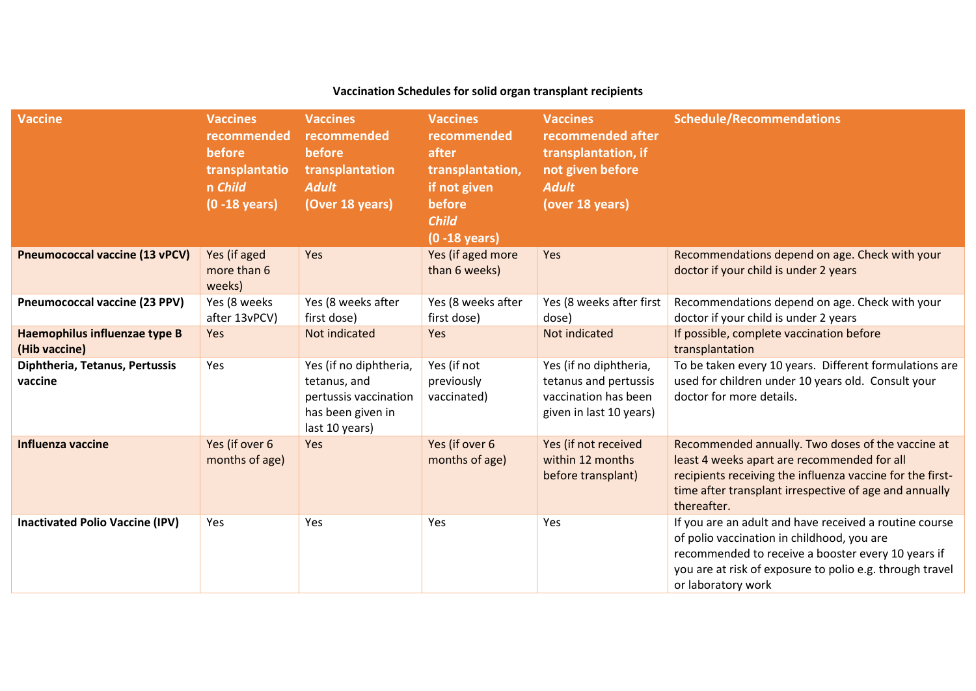| Vaccination Schedules for solid organ transplant recipients |                                                                                           |                                                                                                        |                                                                                                                           |                                                                                                                    |                                                                                                                                                                                                                                              |
|-------------------------------------------------------------|-------------------------------------------------------------------------------------------|--------------------------------------------------------------------------------------------------------|---------------------------------------------------------------------------------------------------------------------------|--------------------------------------------------------------------------------------------------------------------|----------------------------------------------------------------------------------------------------------------------------------------------------------------------------------------------------------------------------------------------|
| <b>Vaccine</b>                                              | <b>Vaccines</b><br>recommended<br>before<br>transplantatio<br>n Child<br>$(0 - 18$ years) | <b>Vaccines</b><br>recommended<br>before<br>transplantation<br><b>Adult</b><br>(Over 18 years)         | <b>Vaccines</b><br>recommended<br>after<br>transplantation,<br>if not given<br>before<br><b>Child</b><br>$(0 - 18$ years) | <b>Vaccines</b><br>recommended after<br>transplantation, if<br>not given before<br><b>Adult</b><br>(over 18 years) | <b>Schedule/Recommendations</b>                                                                                                                                                                                                              |
| <b>Pneumococcal vaccine (13 vPCV)</b>                       | Yes (if aged<br>more than 6<br>weeks)                                                     | Yes                                                                                                    | Yes (if aged more<br>than 6 weeks)                                                                                        | Yes                                                                                                                | Recommendations depend on age. Check with your<br>doctor if your child is under 2 years                                                                                                                                                      |
| <b>Pneumococcal vaccine (23 PPV)</b>                        | Yes (8 weeks<br>after 13vPCV)                                                             | Yes (8 weeks after<br>first dose)                                                                      | Yes (8 weeks after<br>first dose)                                                                                         | Yes (8 weeks after first<br>dose)                                                                                  | Recommendations depend on age. Check with your<br>doctor if your child is under 2 years                                                                                                                                                      |
| Haemophilus influenzae type B<br>(Hib vaccine)              | Yes                                                                                       | Not indicated                                                                                          | Yes                                                                                                                       | Not indicated                                                                                                      | If possible, complete vaccination before<br>transplantation                                                                                                                                                                                  |
| Diphtheria, Tetanus, Pertussis<br>vaccine                   | Yes                                                                                       | Yes (if no diphtheria,<br>tetanus, and<br>pertussis vaccination<br>has been given in<br>last 10 years) | Yes (if not<br>previously<br>vaccinated)                                                                                  | Yes (if no diphtheria,<br>tetanus and pertussis<br>vaccination has been<br>given in last 10 years)                 | To be taken every 10 years. Different formulations are<br>used for children under 10 years old. Consult your<br>doctor for more details.                                                                                                     |
| Influenza vaccine                                           | Yes (if over 6<br>months of age)                                                          | Yes                                                                                                    | Yes (if over 6<br>months of age)                                                                                          | Yes (if not received<br>within 12 months<br>before transplant)                                                     | Recommended annually. Two doses of the vaccine at<br>least 4 weeks apart are recommended for all<br>recipients receiving the influenza vaccine for the first-<br>time after transplant irrespective of age and annually<br>thereafter.       |
| <b>Inactivated Polio Vaccine (IPV)</b>                      | Yes                                                                                       | Yes                                                                                                    | Yes                                                                                                                       | Yes                                                                                                                | If you are an adult and have received a routine course<br>of polio vaccination in childhood, you are<br>recommended to receive a booster every 10 years if<br>you are at risk of exposure to polio e.g. through travel<br>or laboratory work |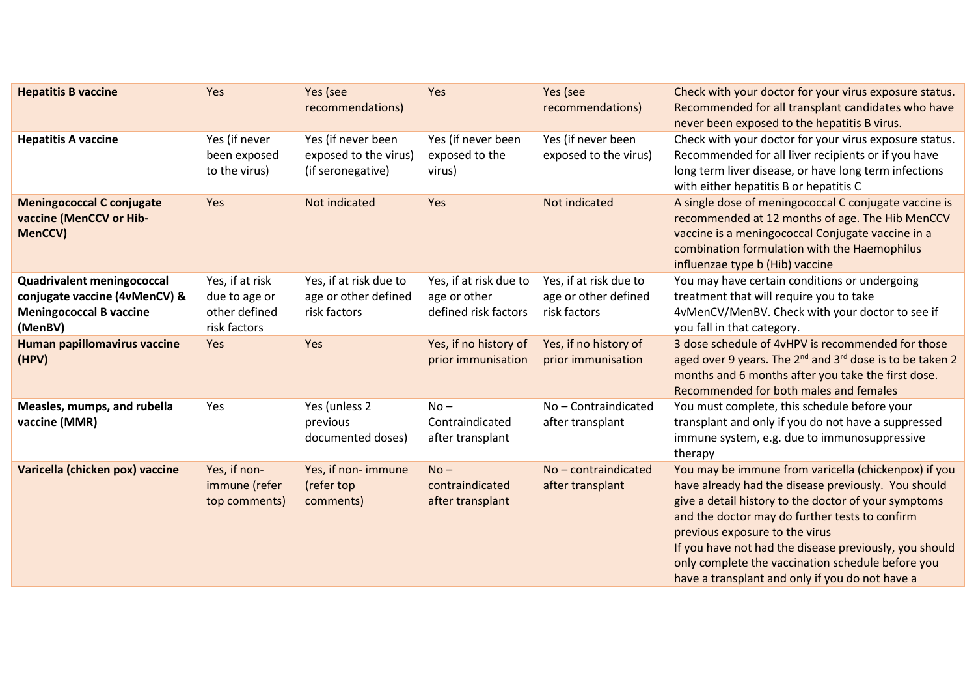| <b>Hepatitis B vaccine</b>                                                                                      | Yes                                                               | Yes (see<br>recommendations)                                     | Yes                                                            | Yes (see<br>recommendations)                                   | Check with your doctor for your virus exposure status.<br>Recommended for all transplant candidates who have<br>never been exposed to the hepatitis B virus.                                                                                                                                                                                                                                                              |
|-----------------------------------------------------------------------------------------------------------------|-------------------------------------------------------------------|------------------------------------------------------------------|----------------------------------------------------------------|----------------------------------------------------------------|---------------------------------------------------------------------------------------------------------------------------------------------------------------------------------------------------------------------------------------------------------------------------------------------------------------------------------------------------------------------------------------------------------------------------|
| <b>Hepatitis A vaccine</b>                                                                                      | Yes (if never<br>been exposed<br>to the virus)                    | Yes (if never been<br>exposed to the virus)<br>(if seronegative) | Yes (if never been<br>exposed to the<br>virus)                 | Yes (if never been<br>exposed to the virus)                    | Check with your doctor for your virus exposure status.<br>Recommended for all liver recipients or if you have<br>long term liver disease, or have long term infections<br>with either hepatitis B or hepatitis C                                                                                                                                                                                                          |
| <b>Meningococcal C conjugate</b><br>vaccine (MenCCV or Hib-<br>MenCCV)                                          | Yes                                                               | Not indicated                                                    | Yes                                                            | Not indicated                                                  | A single dose of meningococcal C conjugate vaccine is<br>recommended at 12 months of age. The Hib MenCCV<br>vaccine is a meningococcal Conjugate vaccine in a<br>combination formulation with the Haemophilus<br>influenzae type b (Hib) vaccine                                                                                                                                                                          |
| <b>Quadrivalent meningococcal</b><br>conjugate vaccine (4vMenCV) &<br><b>Meningococcal B vaccine</b><br>(MenBV) | Yes, if at risk<br>due to age or<br>other defined<br>risk factors | Yes, if at risk due to<br>age or other defined<br>risk factors   | Yes, if at risk due to<br>age or other<br>defined risk factors | Yes, if at risk due to<br>age or other defined<br>risk factors | You may have certain conditions or undergoing<br>treatment that will require you to take<br>4vMenCV/MenBV. Check with your doctor to see if<br>you fall in that category.                                                                                                                                                                                                                                                 |
| <b>Human papillomavirus vaccine</b><br>(HPV)                                                                    | Yes                                                               | Yes                                                              | Yes, if no history of<br>prior immunisation                    | Yes, if no history of<br>prior immunisation                    | 3 dose schedule of 4vHPV is recommended for those<br>aged over 9 years. The 2 <sup>nd</sup> and 3 <sup>rd</sup> dose is to be taken 2<br>months and 6 months after you take the first dose.<br>Recommended for both males and females                                                                                                                                                                                     |
| Measles, mumps, and rubella<br>vaccine (MMR)                                                                    | Yes                                                               | Yes (unless 2<br>previous<br>documented doses)                   | $No -$<br>Contraindicated<br>after transplant                  | No-Contraindicated<br>after transplant                         | You must complete, this schedule before your<br>transplant and only if you do not have a suppressed<br>immune system, e.g. due to immunosuppressive<br>therapy                                                                                                                                                                                                                                                            |
| Varicella (chicken pox) vaccine                                                                                 | Yes, if non-<br>immune (refer<br>top comments)                    | Yes, if non- immune<br>(refer top<br>comments)                   | $No -$<br>contraindicated<br>after transplant                  | No-contraindicated<br>after transplant                         | You may be immune from varicella (chickenpox) if you<br>have already had the disease previously. You should<br>give a detail history to the doctor of your symptoms<br>and the doctor may do further tests to confirm<br>previous exposure to the virus<br>If you have not had the disease previously, you should<br>only complete the vaccination schedule before you<br>have a transplant and only if you do not have a |